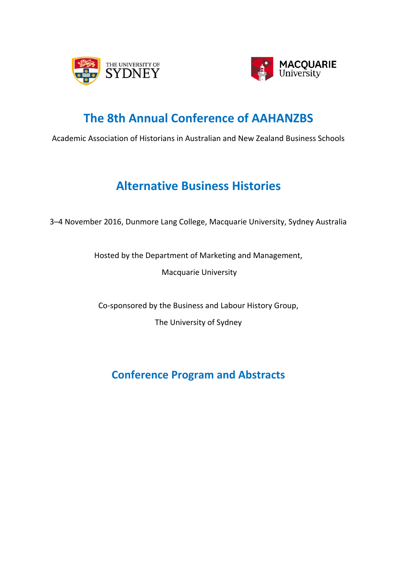



# **The 8th Annual Conference of AAHANZBS**

Academic Association of Historians in Australian and New Zealand Business Schools

# **Alternative Business Histories**

3–4 November 2016, Dunmore Lang College, Macquarie University, Sydney Australia

Hosted by the Department of Marketing and Management,

Macquarie University

Co-sponsored by the Business and Labour History Group,

The University of Sydney

**Conference Program and Abstracts**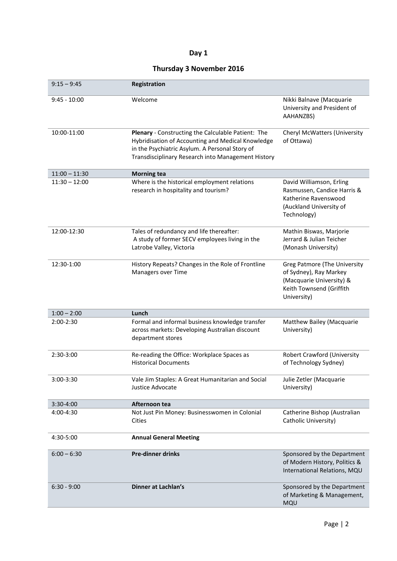## **Day 1**

# **Thursday 3 November 2016**

| $9:15 - 9:45$   | Registration                                                                                                                                                                                                    |                                                                                                                                      |
|-----------------|-----------------------------------------------------------------------------------------------------------------------------------------------------------------------------------------------------------------|--------------------------------------------------------------------------------------------------------------------------------------|
| $9:45 - 10:00$  | Welcome                                                                                                                                                                                                         | Nikki Balnave (Macquarie<br>University and President of<br>AAHANZBS)                                                                 |
| 10:00-11:00     | Plenary - Constructing the Calculable Patient: The<br>Hybridisation of Accounting and Medical Knowledge<br>in the Psychiatric Asylum. A Personal Story of<br>Transdisciplinary Research into Management History | Cheryl McWatters (University<br>of Ottawa)                                                                                           |
| $11:00 - 11:30$ | <b>Morning tea</b>                                                                                                                                                                                              |                                                                                                                                      |
| $11:30 - 12:00$ | Where is the historical employment relations<br>research in hospitality and tourism?                                                                                                                            | David Williamson, Erling<br>Rasmussen, Candice Harris &<br>Katherine Ravenswood<br>(Auckland University of<br>Technology)            |
| 12:00-12:30     | Tales of redundancy and life thereafter:<br>A study of former SECV employees living in the<br>Latrobe Valley, Victoria                                                                                          | Mathin Biswas, Marjorie<br>Jerrard & Julian Teicher<br>(Monash University)                                                           |
| 12:30-1:00      | History Repeats? Changes in the Role of Frontline<br>Managers over Time                                                                                                                                         | <b>Greg Patmore (The University</b><br>of Sydney), Ray Markey<br>(Macquarie University) &<br>Keith Townsend (Griffith<br>University) |
| $1:00 - 2:00$   | Lunch                                                                                                                                                                                                           |                                                                                                                                      |
| $2:00-2:30$     | Formal and informal business knowledge transfer<br>across markets: Developing Australian discount<br>department stores                                                                                          | Matthew Bailey (Macquarie<br>University)                                                                                             |
| 2:30-3:00       | Re-reading the Office: Workplace Spaces as<br><b>Historical Documents</b>                                                                                                                                       | Robert Crawford (University<br>of Technology Sydney)                                                                                 |
| 3:00-3:30       | Vale Jim Staples: A Great Humanitarian and Social<br>Justice Advocate                                                                                                                                           | Julie Zetler (Macquarie<br>University)                                                                                               |
| 3:30-4:00       | Afternoon tea                                                                                                                                                                                                   |                                                                                                                                      |
| 4:00-4:30       | Not Just Pin Money: Businesswomen in Colonial<br>Cities                                                                                                                                                         | Catherine Bishop (Australian<br>Catholic University)                                                                                 |
| 4:30-5:00       | <b>Annual General Meeting</b>                                                                                                                                                                                   |                                                                                                                                      |
| $6:00 - 6:30$   | <b>Pre-dinner drinks</b>                                                                                                                                                                                        | Sponsored by the Department<br>of Modern History, Politics &<br>International Relations, MQU                                         |
| $6:30 - 9:00$   | <b>Dinner at Lachlan's</b>                                                                                                                                                                                      | Sponsored by the Department<br>of Marketing & Management,<br>MQU                                                                     |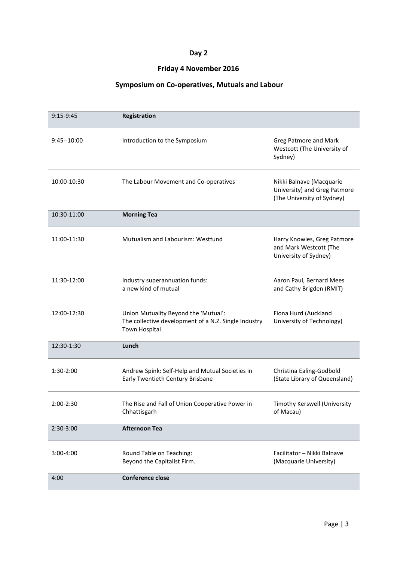# **Day 2**

## **Friday 4 November 2016**

## **Symposium on Co-operatives, Mutuals and Labour**

| 9:15-9:45      | Registration                                                                                                  |                                                                                        |
|----------------|---------------------------------------------------------------------------------------------------------------|----------------------------------------------------------------------------------------|
| $9:45 - 10:00$ | Introduction to the Symposium                                                                                 | Greg Patmore and Mark<br>Westcott (The University of<br>Sydney)                        |
| 10:00-10:30    | The Labour Movement and Co-operatives                                                                         | Nikki Balnave (Macquarie<br>University) and Greg Patmore<br>(The University of Sydney) |
| 10:30-11:00    | <b>Morning Tea</b>                                                                                            |                                                                                        |
| 11:00-11:30    | Mutualism and Labourism: Westfund                                                                             | Harry Knowles, Greg Patmore<br>and Mark Westcott (The<br>University of Sydney)         |
| 11:30-12:00    | Industry superannuation funds:<br>a new kind of mutual                                                        | Aaron Paul, Bernard Mees<br>and Cathy Brigden (RMIT)                                   |
| 12:00-12:30    | Union Mutuality Beyond the 'Mutual':<br>The collective development of a N.Z. Single Industry<br>Town Hospital | Fiona Hurd (Auckland<br>University of Technology)                                      |
| 12:30-1:30     | Lunch                                                                                                         |                                                                                        |
| 1:30-2:00      | Andrew Spink: Self-Help and Mutual Societies in<br>Early Twentieth Century Brisbane                           | Christina Ealing-Godbold<br>(State Library of Queensland)                              |
| 2:00-2:30      | The Rise and Fall of Union Cooperative Power in<br>Chhattisgarh                                               | Timothy Kerswell (University<br>of Macau)                                              |
| 2:30-3:00      | <b>Afternoon Tea</b>                                                                                          |                                                                                        |
| 3:00-4:00      | Round Table on Teaching:<br>Beyond the Capitalist Firm.                                                       | Facilitator - Nikki Balnave<br>(Macquarie University)                                  |
| 4:00           | <b>Conference close</b>                                                                                       |                                                                                        |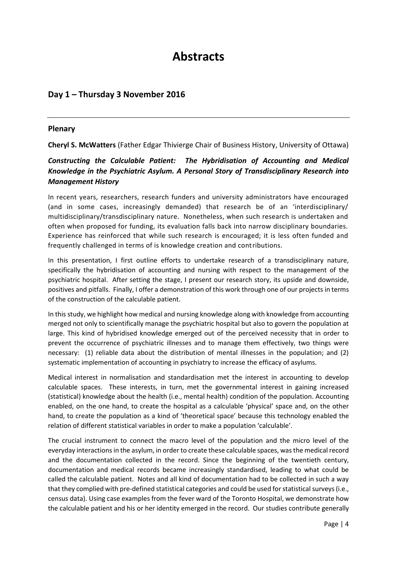# **Abstracts**

# **Day 1 – Thursday 3 November 2016**

## **Plenary**

**Cheryl S. McWatters** (Father Edgar Thivierge Chair of Business History, University of Ottawa)

## *Constructing the Calculable Patient: The Hybridisation of Accounting and Medical Knowledge in the Psychiatric Asylum. A Personal Story of Transdisciplinary Research into Management History*

In recent years, researchers, research funders and university administrators have encouraged (and in some cases, increasingly demanded) that research be of an 'interdisciplinary/ multidisciplinary/transdisciplinary nature. Nonetheless, when such research is undertaken and often when proposed for funding, its evaluation falls back into narrow disciplinary boundaries. Experience has reinforced that while such research is encouraged; it is less often funded and frequently challenged in terms of is knowledge creation and contributions.

In this presentation, I first outline efforts to undertake research of a transdisciplinary nature, specifically the hybridisation of accounting and nursing with respect to the management of the psychiatric hospital. After setting the stage, I present our research story, its upside and downside, positives and pitfalls. Finally, I offer a demonstration of this work through one of our projects in terms of the construction of the calculable patient.

In this study, we highlight how medical and nursing knowledge along with knowledge from accounting merged not only to scientifically manage the psychiatric hospital but also to govern the population at large. This kind of hybridised knowledge emerged out of the perceived necessity that in order to prevent the occurrence of psychiatric illnesses and to manage them effectively, two things were necessary: (1) reliable data about the distribution of mental illnesses in the population; and (2) systematic implementation of accounting in psychiatry to increase the efficacy of asylums.

Medical interest in normalisation and standardisation met the interest in accounting to develop calculable spaces. These interests, in turn, met the governmental interest in gaining increased (statistical) knowledge about the health (i.e., mental health) condition of the population. Accounting enabled, on the one hand, to create the hospital as a calculable 'physical' space and, on the other hand, to create the population as a kind of 'theoretical space' because this technology enabled the relation of different statistical variables in order to make a population 'calculable'.

The crucial instrument to connect the macro level of the population and the micro level of the everyday interactions in the asylum, in order to create these calculable spaces, was the medical record and the documentation collected in the record. Since the beginning of the twentieth century, documentation and medical records became increasingly standardised, leading to what could be called the calculable patient. Notes and all kind of documentation had to be collected in such a way that they complied with pre-defined statistical categories and could be used for statistical surveys (i.e., census data). Using case examples from the fever ward of the Toronto Hospital, we demonstrate how the calculable patient and his or her identity emerged in the record. Our studies contribute generally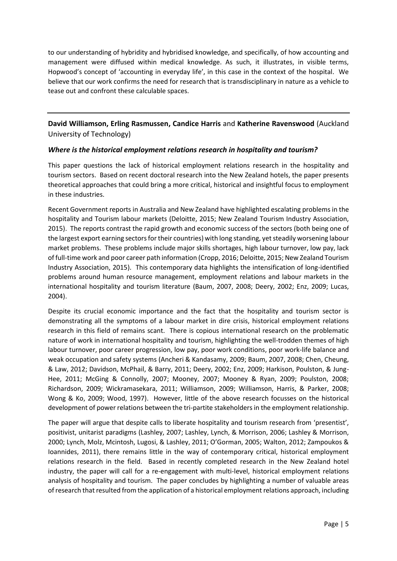to our understanding of hybridity and hybridised knowledge, and specifically, of how accounting and management were diffused within medical knowledge. As such, it illustrates, in visible terms, Hopwood's concept of 'accounting in everyday life', in this case in the context of the hospital. We believe that our work confirms the need for research that is transdisciplinary in nature as a vehicle to tease out and confront these calculable spaces.

## **David Williamson, Erling Rasmussen, Candice Harris** and **Katherine Ravenswood** (Auckland University of Technology)

## *Where is the historical employment relations research in hospitality and tourism?*

This paper questions the lack of historical employment relations research in the hospitality and tourism sectors. Based on recent doctoral research into the New Zealand hotels, the paper presents theoretical approaches that could bring a more critical, historical and insightful focus to employment in these industries.

Recent Government reports in Australia and New Zealand have highlighted escalating problems in the hospitality and Tourism labour markets (Deloitte, 2015; New Zealand Tourism Industry Association, 2015). The reports contrast the rapid growth and economic success of the sectors (both being one of the largest export earning sectors for their countries) with long standing, yet steadily worsening labour market problems. These problems include major skills shortages, high labour turnover, low pay, lack of full-time work and poor career path information (Cropp, 2016; Deloitte, 2015; New Zealand Tourism Industry Association, 2015). This contemporary data highlights the intensification of long-identified problems around human resource management, employment relations and labour markets in the international hospitality and tourism literature (Baum, 2007, 2008; Deery, 2002; Enz, 2009; Lucas, 2004).

Despite its crucial economic importance and the fact that the hospitality and tourism sector is demonstrating all the symptoms of a labour market in dire crisis, historical employment relations research in this field of remains scant. There is copious international research on the problematic nature of work in international hospitality and tourism, highlighting the well-trodden themes of high labour turnover, poor career progression, low pay, poor work conditions, poor work-life balance and weak occupation and safety systems (Ancheri & Kandasamy, 2009; Baum, 2007, 2008; Chen, Cheung, & Law, 2012; Davidson, McPhail, & Barry, 2011; Deery, 2002; Enz, 2009; Harkison, Poulston, & Jung-Hee, 2011; McGing & Connolly, 2007; Mooney, 2007; Mooney & Ryan, 2009; Poulston, 2008; Richardson, 2009; Wickramasekara, 2011; Williamson, 2009; Williamson, Harris, & Parker, 2008; Wong & Ko, 2009; Wood, 1997). However, little of the above research focusses on the historical development of power relations between the tri-partite stakeholders in the employment relationship.

The paper will argue that despite calls to liberate hospitality and tourism research from 'presentist', positivist, unitarist paradigms (Lashley, 2007; Lashley, Lynch, & Morrison, 2006; Lashley & Morrison, 2000; Lynch, Molz, Mcintosh, Lugosi, & Lashley, 2011; O'Gorman, 2005; Walton, 2012; Zampoukos & Ioannides, 2011), there remains little in the way of contemporary critical, historical employment relations research in the field. Based in recently completed research in the New Zealand hotel industry, the paper will call for a re-engagement with multi-level, historical employment relations analysis of hospitality and tourism. The paper concludes by highlighting a number of valuable areas of research that resulted from the application of a historical employment relations approach, including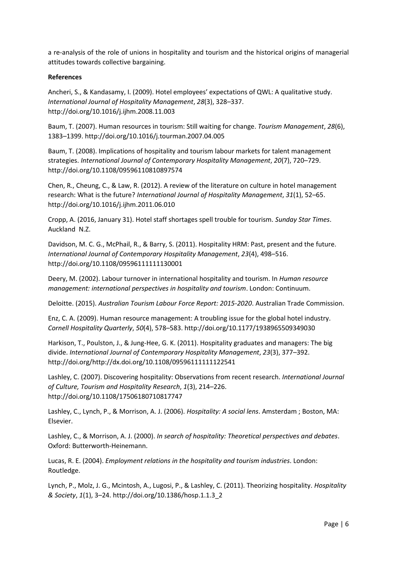a re-analysis of the role of unions in hospitality and tourism and the historical origins of managerial attitudes towards collective bargaining.

#### **References**

Ancheri, S., & Kandasamy, I. (2009). Hotel employees' expectations of QWL: A qualitative study. *International Journal of Hospitality Management*, *28*(3), 328–337. http://doi.org/10.1016/j.ijhm.2008.11.003

Baum, T. (2007). Human resources in tourism: Still waiting for change. *Tourism Management*, *28*(6), 1383–1399. http://doi.org/10.1016/j.tourman.2007.04.005

Baum, T. (2008). Implications of hospitality and tourism labour markets for talent management strategies. *International Journal of Contemporary Hospitality Management*, *20*(7), 720–729. http://doi.org/10.1108/09596110810897574

Chen, R., Cheung, C., & Law, R. (2012). A review of the literature on culture in hotel management research: What is the future? *International Journal of Hospitality Management*, *31*(1), 52–65. http://doi.org/10.1016/j.ijhm.2011.06.010

Cropp, A. (2016, January 31). Hotel staff shortages spell trouble for tourism. *Sunday Star Times*. Auckland N.Z.

Davidson, M. C. G., McPhail, R., & Barry, S. (2011). Hospitality HRM: Past, present and the future. *International Journal of Contemporary Hospitality Management*, *23*(4), 498–516. http://doi.org/10.1108/09596111111130001

Deery, M. (2002). Labour turnover in international hospitality and tourism. In *Human resource management: international perspectives in hospitality and tourism*. London: Continuum.

Deloitte. (2015). *Australian Tourism Labour Force Report: 2015-2020*. Australian Trade Commission.

Enz, C. A. (2009). Human resource management: A troubling issue for the global hotel industry. *Cornell Hospitality Quarterly*, *50*(4), 578–583. http://doi.org/10.1177/1938965509349030

Harkison, T., Poulston, J., & Jung-Hee, G. K. (2011). Hospitality graduates and managers: The big divide. *International Journal of Contemporary Hospitality Management*, *23*(3), 377–392. http://doi.org/http://dx.doi.org/10.1108/09596111111122541

Lashley, C. (2007). Discovering hospitality: Observations from recent research. *International Journal of Culture, Tourism and Hospitality Research*, *1*(3), 214–226. http://doi.org/10.1108/17506180710817747

Lashley, C., Lynch, P., & Morrison, A. J. (2006). *Hospitality: A social lens*. Amsterdam ; Boston, MA: Elsevier.

Lashley, C., & Morrison, A. J. (2000). *In search of hospitality: Theoretical perspectives and debates*. Oxford: Butterworth-Heinemann.

Lucas, R. E. (2004). *Employment relations in the hospitality and tourism industries*. London: Routledge.

Lynch, P., Molz, J. G., Mcintosh, A., Lugosi, P., & Lashley, C. (2011). Theorizing hospitality. *Hospitality & Society*, *1*(1), 3–24. http://doi.org/10.1386/hosp.1.1.3\_2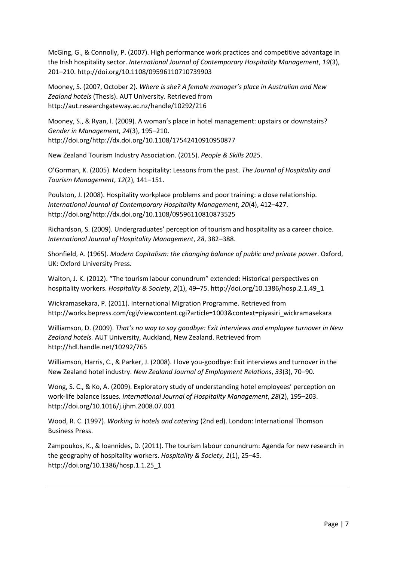McGing, G., & Connolly, P. (2007). High performance work practices and competitive advantage in the Irish hospitality sector. *International Journal of Contemporary Hospitality Management*, *19*(3), 201–210. http://doi.org/10.1108/09596110710739903

Mooney, S. (2007, October 2). *Where is she? A female manager's place in Australian and New Zealand hotels* (Thesis). AUT University. Retrieved from http://aut.researchgateway.ac.nz/handle/10292/216

Mooney, S., & Ryan, I. (2009). A woman's place in hotel management: upstairs or downstairs? *Gender in Management*, *24*(3), 195–210. http://doi.org/http://dx.doi.org/10.1108/17542410910950877

New Zealand Tourism Industry Association. (2015). *People & Skills 2025*.

O'Gorman, K. (2005). Modern hospitality: Lessons from the past. *The Journal of Hospitality and Tourism Management*, *12*(2), 141–151.

Poulston, J. (2008). Hospitality workplace problems and poor training: a close relationship. *International Journal of Contemporary Hospitality Management*, *20*(4), 412–427. http://doi.org/http://dx.doi.org/10.1108/09596110810873525

Richardson, S. (2009). Undergraduates' perception of tourism and hospitality as a career choice. *International Journal of Hospitality Management*, *28*, 382–388.

Shonfield, A. (1965). *Modern Capitalism: the changing balance of public and private power*. Oxford, UK: Oxford University Press.

Walton, J. K. (2012). "The tourism labour conundrum" extended: Historical perspectives on hospitality workers. *Hospitality & Society*, *2*(1), 49–75. http://doi.org/10.1386/hosp.2.1.49\_1

Wickramasekara, P. (2011). International Migration Programme. Retrieved from http://works.bepress.com/cgi/viewcontent.cgi?article=1003&context=piyasiri\_wickramasekara

Williamson, D. (2009). *That's no way to say goodbye: Exit interviews and employee turnover in New Zealand hotels.* AUT University, Auckland, New Zealand. Retrieved from http://hdl.handle.net/10292/765

Williamson, Harris, C., & Parker, J. (2008). I love you-goodbye: Exit interviews and turnover in the New Zealand hotel industry. *New Zealand Journal of Employment Relations*, *33*(3), 70–90.

Wong, S. C., & Ko, A. (2009). Exploratory study of understanding hotel employees' perception on work-life balance issues. *International Journal of Hospitality Management*, *28*(2), 195–203. http://doi.org/10.1016/j.ijhm.2008.07.001

Wood, R. C. (1997). *Working in hotels and catering* (2nd ed). London: International Thomson Business Press.

Zampoukos, K., & Ioannides, D. (2011). The tourism labour conundrum: Agenda for new research in the geography of hospitality workers. *Hospitality & Society*, *1*(1), 25–45. http://doi.org/10.1386/hosp.1.1.25\_1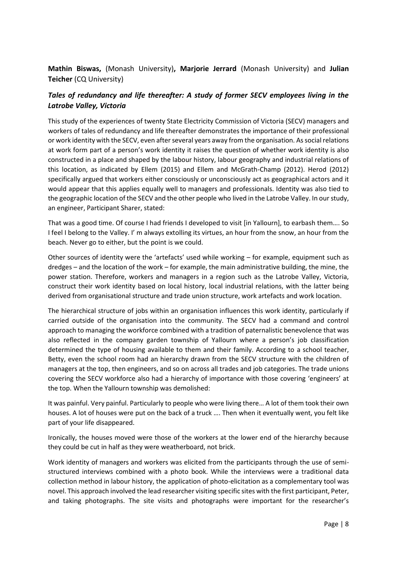**Mathin Biswas,** (Monash University)**, Marjorie Jerrard** (Monash University) and **Julian Teicher** (CQ University)

## *Tales of redundancy and life thereafter: A study of former SECV employees living in the Latrobe Valley, Victoria*

This study of the experiences of twenty State Electricity Commission of Victoria (SECV) managers and workers of tales of redundancy and life thereafter demonstrates the importance of their professional or work identity with the SECV, even after several years away from the organisation. As social relations at work form part of a person's work identity it raises the question of whether work identity is also constructed in a place and shaped by the labour history, labour geography and industrial relations of this location, as indicated by Ellem (2015) and Ellem and McGrath-Champ (2012). Herod (2012) specifically argued that workers either consciously or unconsciously act as geographical actors and it would appear that this applies equally well to managers and professionals. Identity was also tied to the geographic location of the SECV and the other people who lived in the Latrobe Valley. In our study, an engineer, Participant Sharer, stated:

That was a good time. Of course I had friends I developed to visit [in Yallourn], to earbash them…. So I feel I belong to the Valley. I' m always extolling its virtues, an hour from the snow, an hour from the beach. Never go to either, but the point is we could.

Other sources of identity were the 'artefacts' used while working – for example, equipment such as dredges – and the location of the work – for example, the main administrative building, the mine, the power station. Therefore, workers and managers in a region such as the Latrobe Valley, Victoria, construct their work identity based on local history, local industrial relations, with the latter being derived from organisational structure and trade union structure, work artefacts and work location.

The hierarchical structure of jobs within an organisation influences this work identity, particularly if carried outside of the organisation into the community. The SECV had a command and control approach to managing the workforce combined with a tradition of paternalistic benevolence that was also reflected in the company garden township of Yallourn where a person's job classification determined the type of housing available to them and their family. According to a school teacher, Betty, even the school room had an hierarchy drawn from the SECV structure with the children of managers at the top, then engineers, and so on across all trades and job categories. The trade unions covering the SECV workforce also had a hierarchy of importance with those covering 'engineers' at the top. When the Yallourn township was demolished:

It was painful. Very painful. Particularly to people who were living there… A lot of them took their own houses. A lot of houses were put on the back of a truck …. Then when it eventually went, you felt like part of your life disappeared.

Ironically, the houses moved were those of the workers at the lower end of the hierarchy because they could be cut in half as they were weatherboard, not brick.

Work identity of managers and workers was elicited from the participants through the use of semistructured interviews combined with a photo book. While the interviews were a traditional data collection method in labour history, the application of photo-elicitation as a complementary tool was novel. This approach involved the lead researcher visiting specific sites with the first participant, Peter, and taking photographs. The site visits and photographs were important for the researcher's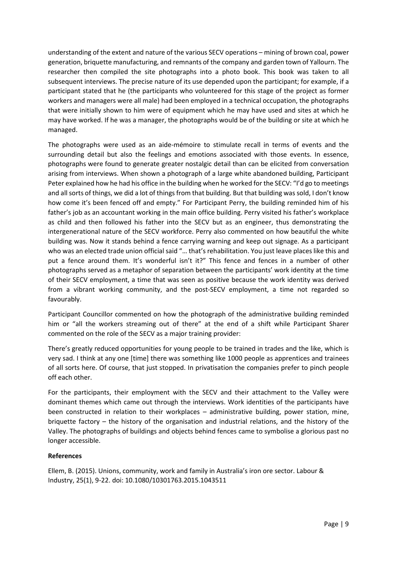understanding of the extent and nature of the various SECV operations – mining of brown coal, power generation, briquette manufacturing, and remnants of the company and garden town of Yallourn. The researcher then compiled the site photographs into a photo book. This book was taken to all subsequent interviews. The precise nature of its use depended upon the participant; for example, if a participant stated that he (the participants who volunteered for this stage of the project as former workers and managers were all male) had been employed in a technical occupation, the photographs that were initially shown to him were of equipment which he may have used and sites at which he may have worked. If he was a manager, the photographs would be of the building or site at which he managed.

The photographs were used as an aide-mémoire to stimulate recall in terms of events and the surrounding detail but also the feelings and emotions associated with those events. In essence, photographs were found to generate greater nostalgic detail than can be elicited from conversation arising from interviews. When shown a photograph of a large white abandoned building, Participant Peter explained how he had his office in the building when he worked for the SECV: "I'd go to meetings and all sorts of things, we did a lot of things from that building. But that building was sold, I don't know how come it's been fenced off and empty." For Participant Perry, the building reminded him of his father's job as an accountant working in the main office building. Perry visited his father's workplace as child and then followed his father into the SECV but as an engineer, thus demonstrating the intergenerational nature of the SECV workforce. Perry also commented on how beautiful the white building was. Now it stands behind a fence carrying warning and keep out signage. As a participant who was an elected trade union official said "… that's rehabilitation. You just leave places like this and put a fence around them. It's wonderful isn't it?" This fence and fences in a number of other photographs served as a metaphor of separation between the participants' work identity at the time of their SECV employment, a time that was seen as positive because the work identity was derived from a vibrant working community, and the post-SECV employment, a time not regarded so favourably.

Participant Councillor commented on how the photograph of the administrative building reminded him or "all the workers streaming out of there" at the end of a shift while Participant Sharer commented on the role of the SECV as a major training provider:

There's greatly reduced opportunities for young people to be trained in trades and the like, which is very sad. I think at any one [time] there was something like 1000 people as apprentices and trainees of all sorts here. Of course, that just stopped. In privatisation the companies prefer to pinch people off each other.

For the participants, their employment with the SECV and their attachment to the Valley were dominant themes which came out through the interviews. Work identities of the participants have been constructed in relation to their workplaces – administrative building, power station, mine, briquette factory – the history of the organisation and industrial relations, and the history of the Valley. The photographs of buildings and objects behind fences came to symbolise a glorious past no longer accessible.

## **References**

Ellem, B. (2015). Unions, community, work and family in Australia's iron ore sector. Labour & Industry, 25(1), 9-22. doi: 10.1080/10301763.2015.1043511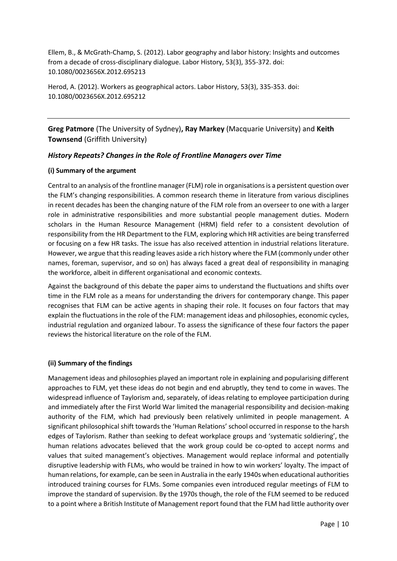Ellem, B., & McGrath-Champ, S. (2012). Labor geography and labor history: Insights and outcomes from a decade of cross-disciplinary dialogue. Labor History, 53(3), 355-372. doi: 10.1080/0023656X.2012.695213

Herod, A. (2012). Workers as geographical actors. Labor History, 53(3), 335-353. doi: 10.1080/0023656X.2012.695212

**Greg Patmore** (The University of Sydney)**, Ray Markey** (Macquarie University) and **Keith Townsend** (Griffith University)

### *History Repeats? Changes in the Role of Frontline Managers over Time*

#### **(i) Summary of the argument**

Central to an analysis of the frontline manager (FLM) role in organisations is a persistent question over the FLM's changing responsibilities. A common research theme in literature from various disciplines in recent decades has been the changing nature of the FLM role from an overseer to one with a larger role in administrative responsibilities and more substantial people management duties. Modern scholars in the Human Resource Management (HRM) field refer to a consistent devolution of responsibility from the HR Department to the FLM, exploring which HR activities are being transferred or focusing on a few HR tasks. The issue has also received attention in industrial relations literature. However, we argue that this reading leaves aside a rich history where the FLM (commonly under other names, foreman, supervisor, and so on) has always faced a great deal of responsibility in managing the workforce, albeit in different organisational and economic contexts.

Against the background of this debate the paper aims to understand the fluctuations and shifts over time in the FLM role as a means for understanding the drivers for contemporary change. This paper recognises that FLM can be active agents in shaping their role. It focuses on four factors that may explain the fluctuations in the role of the FLM: management ideas and philosophies, economic cycles, industrial regulation and organized labour. To assess the significance of these four factors the paper reviews the historical literature on the role of the FLM.

#### **(ii) Summary of the findings**

Management ideas and philosophies played an important role in explaining and popularising different approaches to FLM, yet these ideas do not begin and end abruptly, they tend to come in waves. The widespread influence of Taylorism and, separately, of ideas relating to employee participation during and immediately after the First World War limited the managerial responsibility and decision-making authority of the FLM, which had previously been relatively unlimited in people management. A significant philosophical shift towards the 'Human Relations' school occurred in response to the harsh edges of Taylorism. Rather than seeking to defeat workplace groups and 'systematic soldiering', the human relations advocates believed that the work group could be co-opted to accept norms and values that suited management's objectives. Management would replace informal and potentially disruptive leadership with FLMs, who would be trained in how to win workers' loyalty. The impact of human relations, for example, can be seen in Australia in the early 1940s when educational authorities introduced training courses for FLMs. Some companies even introduced regular meetings of FLM to improve the standard of supervision. By the 1970s though, the role of the FLM seemed to be reduced to a point where a British Institute of Management report found that the FLM had little authority over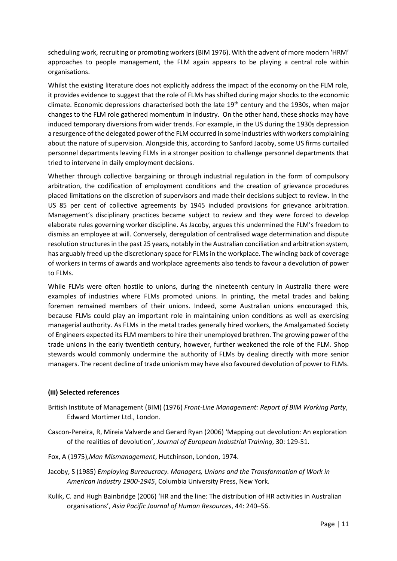scheduling work, recruiting or promoting workers (BIM 1976). With the advent of more modern 'HRM' approaches to people management, the FLM again appears to be playing a central role within organisations.

Whilst the existing literature does not explicitly address the impact of the economy on the FLM role, it provides evidence to suggest that the role of FLMs has shifted during major shocks to the economic climate. Economic depressions characterised both the late 19<sup>th</sup> century and the 1930s, when major changes to the FLM role gathered momentum in industry. On the other hand, these shocks may have induced temporary diversions from wider trends. For example, in the US during the 1930s depression a resurgence of the delegated power of the FLM occurred in some industries with workers complaining about the nature of supervision. Alongside this, according to Sanford Jacoby, some US firms curtailed personnel departments leaving FLMs in a stronger position to challenge personnel departments that tried to intervene in daily employment decisions.

Whether through collective bargaining or through industrial regulation in the form of compulsory arbitration, the codification of employment conditions and the creation of grievance procedures placed limitations on the discretion of supervisors and made their decisions subject to review. In the US 85 per cent of collective agreements by 1945 included provisions for grievance arbitration. Management's disciplinary practices became subject to review and they were forced to develop elaborate rules governing worker discipline. As Jacoby, argues this undermined the FLM's freedom to dismiss an employee at will. Conversely, deregulation of centralised wage determination and dispute resolution structures in the past 25 years, notably in the Australian conciliation and arbitration system, has arguably freed up the discretionary space for FLMs in the workplace. The winding back of coverage of workers in terms of awards and workplace agreements also tends to favour a devolution of power to FLMs.

While FLMs were often hostile to unions, during the nineteenth century in Australia there were examples of industries where FLMs promoted unions. In printing, the metal trades and baking foremen remained members of their unions. Indeed, some Australian unions encouraged this, because FLMs could play an important role in maintaining union conditions as well as exercising managerial authority. As FLMs in the metal trades generally hired workers, the Amalgamated Society of Engineers expected its FLM members to hire their unemployed brethren. The growing power of the trade unions in the early twentieth century, however, further weakened the role of the FLM. Shop stewards would commonly undermine the authority of FLMs by dealing directly with more senior managers. The recent decline of trade unionism may have also favoured devolution of power to FLMs.

#### **(iii) Selected references**

- British Institute of Management (BIM) (1976) *Front-Line Management: Report of BIM Working Party*, Edward Mortimer Ltd., London.
- Cascon-Pereira, R, Mireia Valverde and Gerard Ryan (2006) 'Mapping out devolution: An exploration of the realities of devolution', *Journal of European Industrial Training*, 30: 129-51.
- Fox, A (1975),*Man Mismanagement*, Hutchinson, London, 1974.
- Jacoby, S (1985) *Employing Bureaucracy. Managers, Unions and the Transformation of Work in American Industry 1900-1945*, Columbia University Press, New York.
- Kulik, C. and Hugh Bainbridge (2006) 'HR and the line: The distribution of HR activities in Australian organisations', *Asia Pacific Journal of Human Resources*, 44: 240–56.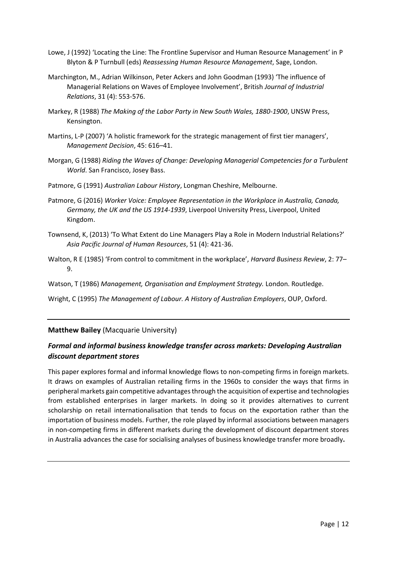- Lowe, J (1992) 'Locating the Line: The Frontline Supervisor and Human Resource Management' in P Blyton & P Turnbull (eds) *Reassessing Human Resource Management*, Sage, London.
- Marchington, M., Adrian Wilkinson, Peter Ackers and John Goodman (1993) 'The influence of Managerial Relations on Waves of Employee Involvement', British *Journal of Industrial Relations*, 31 (4): 553-576.
- Markey, R (1988) *The Making of the Labor Party in New South Wales, 1880-1900*, UNSW Press, Kensington.
- Martins, L-P (2007) 'A holistic framework for the strategic management of first tier managers', *Management Decision*, 45: 616–41.
- Morgan, G (1988) *Riding the Waves of Change: Developing Managerial Competencies for a Turbulent World*. San Francisco, Josey Bass.
- Patmore, G (1991) *Australian Labour History*, Longman Cheshire, Melbourne.
- Patmore, G (2016) *Worker Voice: Employee Representation in the Workplace in Australia, Canada, Germany, the UK and the US 1914-1939*, Liverpool University Press, Liverpool, United Kingdom.
- Townsend, K, (2013) 'To What Extent do Line Managers Play a Role in Modern Industrial Relations?' *Asia Pacific Journal of Human Resources*, 51 (4): 421-36.
- Walton, R E (1985) 'From control to commitment in the workplace', *Harvard Business Review*, 2: 77– 9.
- Watson, T (1986) *Management, Organisation and Employment Strategy.* London. Routledge.
- Wright, C (1995) *The Management of Labour. A History of Australian Employers*, OUP, Oxford.

**Matthew Bailey** (Macquarie University)

## *Formal and informal business knowledge transfer across markets: Developing Australian discount department stores*

This paper explores formal and informal knowledge flows to non-competing firms in foreign markets. It draws on examples of Australian retailing firms in the 1960s to consider the ways that firms in peripheral markets gain competitive advantages through the acquisition of expertise and technologies from established enterprises in larger markets. In doing so it provides alternatives to current scholarship on retail internationalisation that tends to focus on the exportation rather than the importation of business models. Further, the role played by informal associations between managers in non-competing firms in different markets during the development of discount department stores in Australia advances the case for socialising analyses of business knowledge transfer more broadly**.**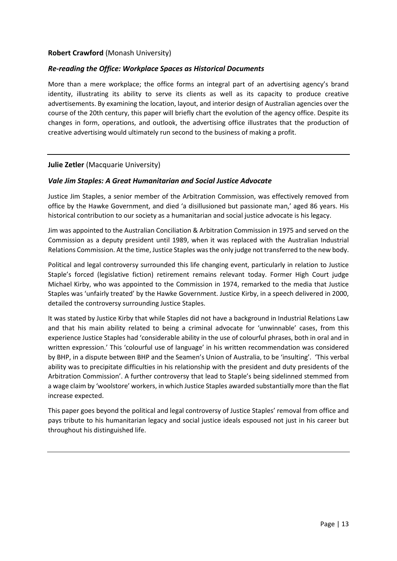## **Robert Crawford** (Monash University)

## *Re-reading the Office: Workplace Spaces as Historical Documents*

More than a mere workplace; the office forms an integral part of an advertising agency's brand identity, illustrating its ability to serve its clients as well as its capacity to produce creative advertisements. By examining the location, layout, and interior design of Australian agencies over the course of the 20th century, this paper will briefly chart the evolution of the agency office. Despite its changes in form, operations, and outlook, the advertising office illustrates that the production of creative advertising would ultimately run second to the business of making a profit.

## **Julie Zetler** (Macquarie University)

### *Vale Jim Staples: A Great Humanitarian and Social Justice Advocate*

Justice Jim Staples, a senior member of the Arbitration Commission, was effectively removed from office by the Hawke Government, and died 'a disillusioned but passionate man,' aged 86 years. His historical contribution to our society as a humanitarian and social justice advocate is his legacy.

Jim was appointed to the Australian Conciliation & Arbitration Commission in 1975 and served on the Commission as a deputy president until 1989, when it was replaced with the Australian Industrial Relations Commission. At the time, Justice Staples was the only judge not transferred to the new body.

Political and legal controversy surrounded this life changing event, particularly in relation to Justice Staple's forced (legislative fiction) retirement remains relevant today. Former High Court judge Michael Kirby, who was appointed to the Commission in 1974, remarked to the media that Justice Staples was 'unfairly treated' by the Hawke Government. Justice Kirby, in a speech delivered in 2000, detailed the controversy surrounding Justice Staples.

It was stated by Justice Kirby that while Staples did not have a background in Industrial Relations Law and that his main ability related to being a criminal advocate for 'unwinnable' cases, from this experience Justice Staples had 'considerable ability in the use of colourful phrases, both in oral and in written expression.' This 'colourful use of language' in his written recommendation was considered by BHP, in a dispute between BHP and the Seamen's Union of Australia, to be 'insulting'. 'This verbal ability was to precipitate difficulties in his relationship with the president and duty presidents of the Arbitration Commission'. A further controversy that lead to Staple's being sidelinned stemmed from a wage claim by 'woolstore' workers, in which Justice Staples awarded substantially more than the flat increase expected.

This paper goes beyond the political and legal controversy of Justice Staples' removal from office and pays tribute to his humanitarian legacy and social justice ideals espoused not just in his career but throughout his distinguished life.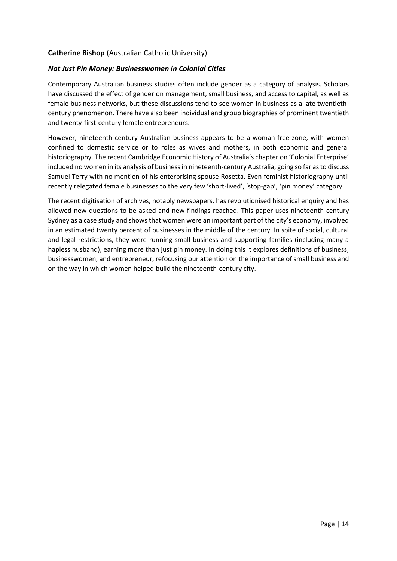## **Catherine Bishop** (Australian Catholic University)

## *Not Just Pin Money: Businesswomen in Colonial Cities*

Contemporary Australian business studies often include gender as a category of analysis. Scholars have discussed the effect of gender on management, small business, and access to capital, as well as female business networks, but these discussions tend to see women in business as a late twentiethcentury phenomenon. There have also been individual and group biographies of prominent twentieth and twenty-first-century female entrepreneurs.

However, nineteenth century Australian business appears to be a woman-free zone, with women confined to domestic service or to roles as wives and mothers, in both economic and general historiography. The recent Cambridge Economic History of Australia's chapter on 'Colonial Enterprise' included no women in its analysis of business in nineteenth-century Australia, going so far as to discuss Samuel Terry with no mention of his enterprising spouse Rosetta. Even feminist historiography until recently relegated female businesses to the very few 'short-lived', 'stop-gap', 'pin money' category.

The recent digitisation of archives, notably newspapers, has revolutionised historical enquiry and has allowed new questions to be asked and new findings reached. This paper uses nineteenth-century Sydney as a case study and shows that women were an important part of the city's economy, involved in an estimated twenty percent of businesses in the middle of the century. In spite of social, cultural and legal restrictions, they were running small business and supporting families (including many a hapless husband), earning more than just pin money. In doing this it explores definitions of business, businesswomen, and entrepreneur, refocusing our attention on the importance of small business and on the way in which women helped build the nineteenth-century city.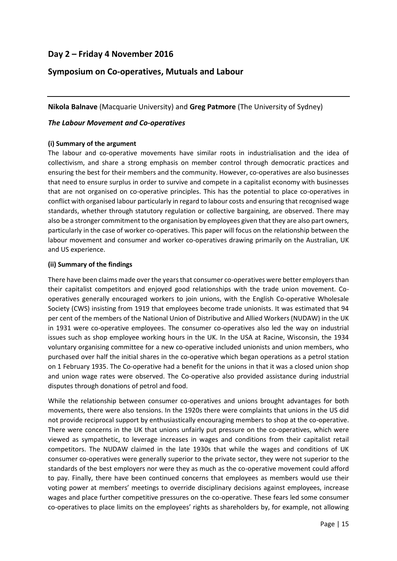# **Day 2 – Friday 4 November 2016**

## **Symposium on Co-operatives, Mutuals and Labour**

**Nikola Balnave** (Macquarie University) and **Greg Patmore** (The University of Sydney)

## *The Labour Movement and Co-operatives*

### **(i) Summary of the argument**

The labour and co-operative movements have similar roots in industrialisation and the idea of collectivism, and share a strong emphasis on member control through democratic practices and ensuring the best for their members and the community. However, co-operatives are also businesses that need to ensure surplus in order to survive and compete in a capitalist economy with businesses that are not organised on co-operative principles. This has the potential to place co-operatives in conflict with organised labour particularly in regard to labour costs and ensuring that recognised wage standards, whether through statutory regulation or collective bargaining, are observed. There may also be a stronger commitment to the organisation by employees given that they are also part owners, particularly in the case of worker co-operatives. This paper will focus on the relationship between the labour movement and consumer and worker co-operatives drawing primarily on the Australian, UK and US experience.

#### **(ii) Summary of the findings**

There have been claims made over the years that consumer co-operatives were better employers than their capitalist competitors and enjoyed good relationships with the trade union movement. Cooperatives generally encouraged workers to join unions, with the English Co-operative Wholesale Society (CWS) insisting from 1919 that employees become trade unionists. It was estimated that 94 per cent of the members of the National Union of Distributive and Allied Workers (NUDAW) in the UK in 1931 were co-operative employees. The consumer co-operatives also led the way on industrial issues such as shop employee working hours in the UK. In the USA at Racine, Wisconsin, the 1934 voluntary organising committee for a new co-operative included unionists and union members, who purchased over half the initial shares in the co-operative which began operations as a petrol station on 1 February 1935. The Co-operative had a benefit for the unions in that it was a closed union shop and union wage rates were observed. The Co-operative also provided assistance during industrial disputes through donations of petrol and food.

While the relationship between consumer co-operatives and unions brought advantages for both movements, there were also tensions. In the 1920s there were complaints that unions in the US did not provide reciprocal support by enthusiastically encouraging members to shop at the co-operative. There were concerns in the UK that unions unfairly put pressure on the co-operatives, which were viewed as sympathetic, to leverage increases in wages and conditions from their capitalist retail competitors. The NUDAW claimed in the late 1930s that while the wages and conditions of UK consumer co-operatives were generally superior to the private sector, they were not superior to the standards of the best employers nor were they as much as the co-operative movement could afford to pay. Finally, there have been continued concerns that employees as members would use their voting power at members' meetings to override disciplinary decisions against employees, increase wages and place further competitive pressures on the co-operative. These fears led some consumer co-operatives to place limits on the employees' rights as shareholders by, for example, not allowing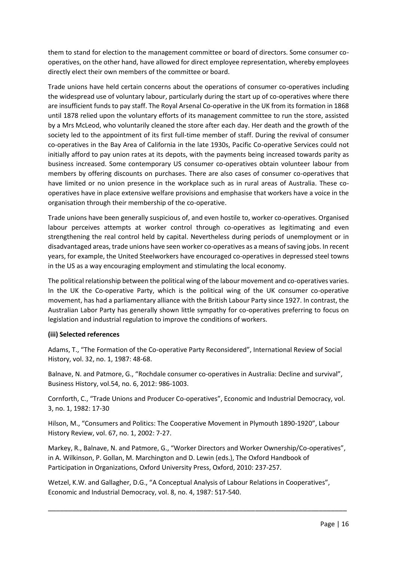them to stand for election to the management committee or board of directors. Some consumer cooperatives, on the other hand, have allowed for direct employee representation, whereby employees directly elect their own members of the committee or board.

Trade unions have held certain concerns about the operations of consumer co-operatives including the widespread use of voluntary labour, particularly during the start up of co-operatives where there are insufficient funds to pay staff. The Royal Arsenal Co-operative in the UK from its formation in 1868 until 1878 relied upon the voluntary efforts of its management committee to run the store, assisted by a Mrs McLeod, who voluntarily cleaned the store after each day. Her death and the growth of the society led to the appointment of its first full-time member of staff. During the revival of consumer co-operatives in the Bay Area of California in the late 1930s, Pacific Co-operative Services could not initially afford to pay union rates at its depots, with the payments being increased towards parity as business increased. Some contemporary US consumer co-operatives obtain volunteer labour from members by offering discounts on purchases. There are also cases of consumer co-operatives that have limited or no union presence in the workplace such as in rural areas of Australia. These cooperatives have in place extensive welfare provisions and emphasise that workers have a voice in the organisation through their membership of the co-operative.

Trade unions have been generally suspicious of, and even hostile to, worker co-operatives. Organised labour perceives attempts at worker control through co-operatives as legitimating and even strengthening the real control held by capital. Nevertheless during periods of unemployment or in disadvantaged areas, trade unions have seen worker co-operatives as a means of saving jobs. In recent years, for example, the United Steelworkers have encouraged co-operatives in depressed steel towns in the US as a way encouraging employment and stimulating the local economy.

The political relationship between the political wing of the labour movement and co-operatives varies. In the UK the Co-operative Party, which is the political wing of the UK consumer co-operative movement, has had a parliamentary alliance with the British Labour Party since 1927. In contrast, the Australian Labor Party has generally shown little sympathy for co-operatives preferring to focus on legislation and industrial regulation to improve the conditions of workers.

## **(iii) Selected references**

Adams, T., "The Formation of the Co-operative Party Reconsidered", International Review of Social History, vol. 32, no. 1, 1987: 48-68.

Balnave, N. and Patmore, G., "Rochdale consumer co-operatives in Australia: Decline and survival", Business History, vol.54, no. 6, 2012: 986-1003.

Cornforth, C., "Trade Unions and Producer Co-operatives", Economic and Industrial Democracy, vol. 3, no. 1, 1982: 17-30

Hilson, M., "Consumers and Politics: The Cooperative Movement in Plymouth 1890-1920", Labour History Review, vol. 67, no. 1, 2002: 7-27.

Markey, R., Balnave, N. and Patmore, G., "Worker Directors and Worker Ownership/Co-operatives", in A. Wilkinson, P. Gollan, M. Marchington and D. Lewin (eds.), The Oxford Handbook of Participation in Organizations, Oxford University Press, Oxford, 2010: 237-257.

\_\_\_\_\_\_\_\_\_\_\_\_\_\_\_\_\_\_\_\_\_\_\_\_\_\_\_\_\_\_\_\_\_\_\_\_\_\_\_\_\_\_\_\_\_\_\_\_\_\_\_\_\_\_\_\_\_\_\_\_\_\_\_\_\_\_\_\_\_\_\_\_\_\_\_

Wetzel, K.W. and Gallagher, D.G., "A Conceptual Analysis of Labour Relations in Cooperatives", Economic and Industrial Democracy, vol. 8, no. 4, 1987: 517-540.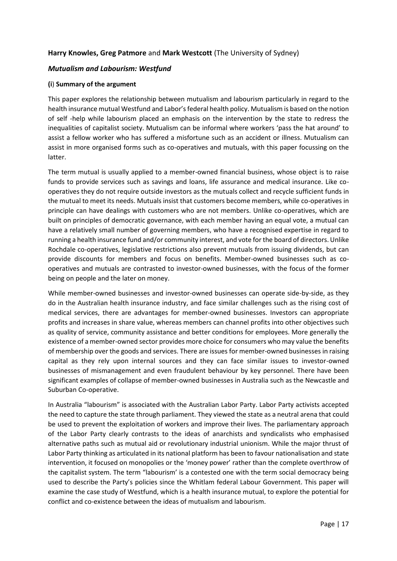## **Harry Knowles, Greg Patmore** and **Mark Westcott** (The University of Sydney)

## *Mutualism and Labourism: Westfund*

#### **(i**) **Summary of the argument**

This paper explores the relationship between mutualism and labourism particularly in regard to the health insurance mutual Westfund and Labor's federal health policy. Mutualism is based on the notion of self -help while labourism placed an emphasis on the intervention by the state to redress the inequalities of capitalist society. Mutualism can be informal where workers 'pass the hat around' to assist a fellow worker who has suffered a misfortune such as an accident or illness. Mutualism can assist in more organised forms such as co-operatives and mutuals, with this paper focussing on the latter.

The term mutual is usually applied to a member-owned financial business, whose object is to raise funds to provide services such as savings and loans, life assurance and medical insurance. Like cooperatives they do not require outside investors as the mutuals collect and recycle sufficient funds in the mutual to meet its needs. Mutuals insist that customers become members, while co-operatives in principle can have dealings with customers who are not members. Unlike co-operatives, which are built on principles of democratic governance, with each member having an equal vote, a mutual can have a relatively small number of governing members, who have a recognised expertise in regard to running a health insurance fund and/or community interest, and vote for the board of directors. Unlike Rochdale co-operatives, legislative restrictions also prevent mutuals from issuing dividends, but can provide discounts for members and focus on benefits. Member-owned businesses such as cooperatives and mutuals are contrasted to investor-owned businesses, with the focus of the former being on people and the later on money.

While member-owned businesses and investor-owned businesses can operate side-by-side, as they do in the Australian health insurance industry, and face similar challenges such as the rising cost of medical services, there are advantages for member-owned businesses. Investors can appropriate profits and increases in share value, whereas members can channel profits into other objectives such as quality of service, community assistance and better conditions for employees. More generally the existence of a member-owned sector provides more choice for consumers who may value the benefits of membership over the goods and services. There are issues for member-owned businesses in raising capital as they rely upon internal sources and they can face similar issues to investor-owned businesses of mismanagement and even fraudulent behaviour by key personnel. There have been significant examples of collapse of member-owned businesses in Australia such as the Newcastle and Suburban Co-operative.

In Australia "labourism" is associated with the Australian Labor Party. Labor Party activists accepted the need to capture the state through parliament. They viewed the state as a neutral arena that could be used to prevent the exploitation of workers and improve their lives. The parliamentary approach of the Labor Party clearly contrasts to the ideas of anarchists and syndicalists who emphasised alternative paths such as mutual aid or revolutionary industrial unionism. While the major thrust of Labor Party thinking as articulated in its national platform has been to favour nationalisation and state intervention, it focused on monopolies or the 'money power' rather than the complete overthrow of the capitalist system. The term "labourism' is a contested one with the term social democracy being used to describe the Party's policies since the Whitlam federal Labour Government. This paper will examine the case study of Westfund, which is a health insurance mutual, to explore the potential for conflict and co-existence between the ideas of mutualism and labourism.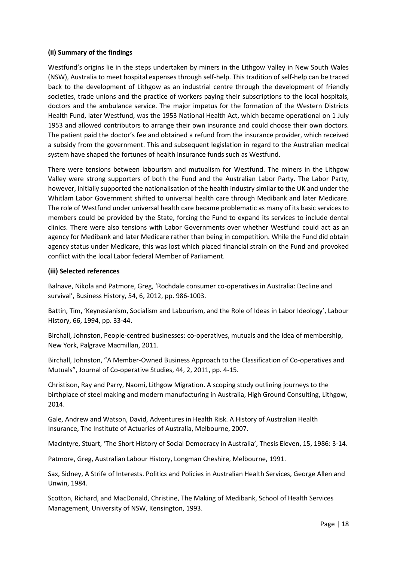## **(ii) Summary of the findings**

Westfund's origins lie in the steps undertaken by miners in the Lithgow Valley in New South Wales (NSW), Australia to meet hospital expenses through self-help. This tradition of self-help can be traced back to the development of Lithgow as an industrial centre through the development of friendly societies, trade unions and the practice of workers paying their subscriptions to the local hospitals, doctors and the ambulance service. The major impetus for the formation of the Western Districts Health Fund, later Westfund, was the 1953 National Health Act, which became operational on 1 July 1953 and allowed contributors to arrange their own insurance and could choose their own doctors. The patient paid the doctor's fee and obtained a refund from the insurance provider, which received a subsidy from the government. This and subsequent legislation in regard to the Australian medical system have shaped the fortunes of health insurance funds such as Westfund.

There were tensions between labourism and mutualism for Westfund. The miners in the Lithgow Valley were strong supporters of both the Fund and the Australian Labor Party. The Labor Party, however, initially supported the nationalisation of the health industry similar to the UK and under the Whitlam Labor Government shifted to universal health care through Medibank and later Medicare. The role of Westfund under universal health care became problematic as many of its basic services to members could be provided by the State, forcing the Fund to expand its services to include dental clinics. There were also tensions with Labor Governments over whether Westfund could act as an agency for Medibank and later Medicare rather than being in competition. While the Fund did obtain agency status under Medicare, this was lost which placed financial strain on the Fund and provoked conflict with the local Labor federal Member of Parliament.

### **(iii) Selected references**

Balnave, Nikola and Patmore, Greg, 'Rochdale consumer co-operatives in Australia: Decline and survival', Business History, 54, 6, 2012, pp. 986-1003.

Battin, Tim, 'Keynesianism, Socialism and Labourism, and the Role of Ideas in Labor Ideology', Labour History, 66, 1994, pp. 33-44.

Birchall, Johnston, People-centred businesses: co-operatives, mutuals and the idea of membership, New York, Palgrave Macmillan, 2011.

Birchall, Johnston, "A Member-Owned Business Approach to the Classification of Co-operatives and Mutuals", Journal of Co-operative Studies, 44, 2, 2011, pp. 4-15.

Christison, Ray and Parry, Naomi, Lithgow Migration. A scoping study outlining journeys to the birthplace of steel making and modern manufacturing in Australia, High Ground Consulting, Lithgow, 2014.

Gale, Andrew and Watson, David, Adventures in Health Risk. A History of Australian Health Insurance, The Institute of Actuaries of Australia, Melbourne, 2007.

Macintyre, Stuart, 'The Short History of Social Democracy in Australia', Thesis Eleven, 15, 1986: 3-14.

Patmore, Greg, Australian Labour History, Longman Cheshire, Melbourne, 1991.

Sax, Sidney, A Strife of Interests. Politics and Policies in Australian Health Services, George Allen and Unwin, 1984.

Scotton, Richard, and MacDonald, Christine, The Making of Medibank, School of Health Services Management, University of NSW, Kensington, 1993.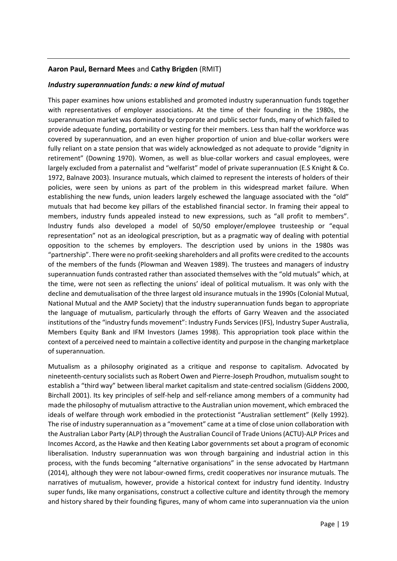## **Aaron Paul, Bernard Mees** and **Cathy Brigden** (RMIT)

#### *Industry superannuation funds: a new kind of mutual*

This paper examines how unions established and promoted industry superannuation funds together with representatives of employer associations. At the time of their founding in the 1980s, the superannuation market was dominated by corporate and public sector funds, many of which failed to provide adequate funding, portability or vesting for their members. Less than half the workforce was covered by superannuation, and an even higher proportion of union and blue-collar workers were fully reliant on a state pension that was widely acknowledged as not adequate to provide "dignity in retirement" (Downing 1970). Women, as well as blue-collar workers and casual employees, were largely excluded from a paternalist and "welfarist" model of private superannuation (E.S Knight & Co. 1972, Balnave 2003). Insurance mutuals, which claimed to represent the interests of holders of their policies, were seen by unions as part of the problem in this widespread market failure. When establishing the new funds, union leaders largely eschewed the language associated with the "old" mutuals that had become key pillars of the established financial sector. In framing their appeal to members, industry funds appealed instead to new expressions, such as "all profit to members". Industry funds also developed a model of 50/50 employer/employee trusteeship or "equal representation" not as an ideological prescription, but as a pragmatic way of dealing with potential opposition to the schemes by employers. The description used by unions in the 1980s was "partnership". There were no profit-seeking shareholders and all profits were credited to the accounts of the members of the funds (Plowman and Weaven 1989). The trustees and managers of industry superannuation funds contrasted rather than associated themselves with the "old mutuals" which, at the time, were not seen as reflecting the unions' ideal of political mutualism. It was only with the decline and demutualisation of the three largest old insurance mutuals in the 1990s (Colonial Mutual, National Mutual and the AMP Society) that the industry superannuation funds began to appropriate the language of mutualism, particularly through the efforts of Garry Weaven and the associated institutions of the "industry funds movement": Industry Funds Services (IFS), Industry Super Australia, Members Equity Bank and IFM Investors (James 1998). This appropriation took place within the context of a perceived need to maintain a collective identity and purpose in the changing marketplace of superannuation.

Mutualism as a philosophy originated as a critique and response to capitalism. Advocated by nineteenth-century socialists such as Robert Owen and Pierre-Joseph Proudhon, mutualism sought to establish a "third way" between liberal market capitalism and state-centred socialism (Giddens 2000, Birchall 2001). Its key principles of self-help and self-reliance among members of a community had made the philosophy of mutualism attractive to the Australian union movement, which embraced the ideals of welfare through work embodied in the protectionist "Australian settlement" (Kelly 1992). The rise of industry superannuation as a "movement" came at a time of close union collaboration with the Australian Labor Party (ALP) through the Australian Council of Trade Unions (ACTU)-ALP Prices and Incomes Accord, as the Hawke and then Keating Labor governments set about a program of economic liberalisation. Industry superannuation was won through bargaining and industrial action in this process, with the funds becoming "alternative organisations" in the sense advocated by Hartmann (2014), although they were not labour-owned firms, credit cooperatives nor insurance mutuals. The narratives of mutualism, however, provide a historical context for industry fund identity. Industry super funds, like many organisations, construct a collective culture and identity through the memory and history shared by their founding figures, many of whom came into superannuation via the union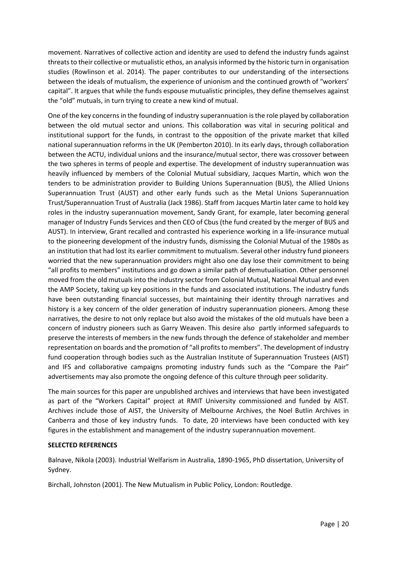movement. Narratives of collective action and identity are used to defend the industry funds against threats to their collective or mutualistic ethos, an analysis informed by the historic turn in organisation studies (Rowlinson et al. 2014). The paper contributes to our understanding of the intersections between the ideals of mutualism, the experience of unionism and the continued growth of "workers' capital". It argues that while the funds espouse mutualistic principles, they define themselves against the "old" mutuals, in turn trying to create a new kind of mutual.

One of the key concerns in the founding of industry superannuation is the role played by collaboration between the old mutual sector and unions. This collaboration was vital in securing political and institutional support for the funds, in contrast to the opposition of the private market that killed national superannuation reforms in the UK (Pemberton 2010). In its early days, through collaboration between the ACTU, individual unions and the insurance/mutual sector, there was crossover between the two spheres in terms of people and expertise. The development of industry superannuation was heavily influenced by members of the Colonial Mutual subsidiary, Jacques Martin, which won the tenders to be administration provider to Building Unions Superannuation (BUS), the Allied Unions Superannuation Trust (AUST) and other early funds such as the Metal Unions Superannuation Trust/Superannuation Trust of Australia (Jack 1986). Staff from Jacques Martin later came to hold key roles in the industry superannuation movement, Sandy Grant, for example, later becoming general manager of Industry Funds Services and then CEO of Cbus (the fund created by the merger of BUS and AUST). In interview, Grant recalled and contrasted his experience working in a life-insurance mutual to the pioneering development of the industry funds, dismissing the Colonial Mutual of the 1980s as an institution that had lost its earlier commitment to mutualism. Several other industry fund pioneers worried that the new superannuation providers might also one day lose their commitment to being "all profits to members" institutions and go down a similar path of demutualisation. Other personnel moved from the old mutuals into the industry sector from Colonial Mutual, National Mutual and even the AMP Society, taking up key positions in the funds and associated institutions. The industry funds have been outstanding financial successes, but maintaining their identity through narratives and history is a key concern of the older generation of industry superannuation pioneers. Among these narratives, the desire to not only replace but also avoid the mistakes of the old mutuals have been a concern of industry pioneers such as Garry Weaven. This desire also partly informed safeguards to preserve the interests of members in the new funds through the defence of stakeholder and member representation on boards and the promotion of "all profits to members". The development of industry fund cooperation through bodies such as the Australian Institute of Superannuation Trustees (AIST) and IFS and collaborative campaigns promoting industry funds such as the "Compare the Pair" advertisements may also promote the ongoing defence of this culture through peer solidarity.

The main sources for this paper are unpublished archives and interviews that have been investigated as part of the "Workers Capital" project at RMIT University commissioned and funded by AIST. Archives include those of AIST, the University of Melbourne Archives, the Noel Butlin Archives in Canberra and those of key industry funds. To date, 20 interviews have been conducted with key figures in the establishment and management of the industry superannuation movement.

#### **SELECTED REFERENCES**

Balnave, Nikola (2003). Industrial Welfarism in Australia, 1890-1965, PhD dissertation, University of Sydney.

Birchall, Johnston (2001). The New Mutualism in Public Policy, London: Routledge.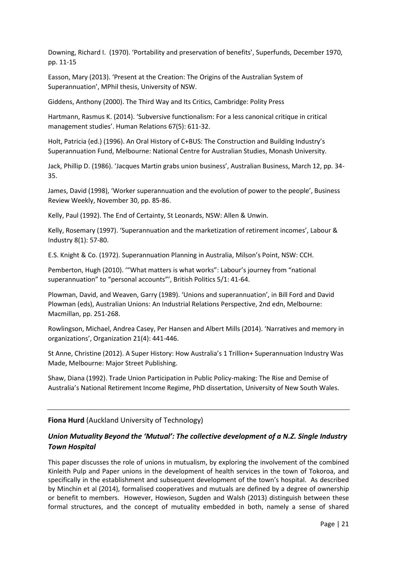Downing, Richard I. (1970). 'Portability and preservation of benefits', Superfunds, December 1970, pp. 11-15

Easson, Mary (2013). 'Present at the Creation: The Origins of the Australian System of Superannuation', MPhil thesis, University of NSW.

Giddens, Anthony (2000). The Third Way and Its Critics, Cambridge: Polity Press

Hartmann, Rasmus K. (2014). 'Subversive functionalism: For a less canonical critique in critical management studies'. Human Relations 67(5): 611-32.

Holt, Patricia (ed.) (1996). An Oral History of C+BUS: The Construction and Building Industry's Superannuation Fund, Melbourne: National Centre for Australian Studies, Monash University.

Jack, Phillip D. (1986). 'Jacques Martin grabs union business', Australian Business, March 12, pp. 34- 35.

James, David (1998), 'Worker superannuation and the evolution of power to the people', Business Review Weekly, November 30, pp. 85-86.

Kelly, Paul (1992). The End of Certainty, St Leonards, NSW: Allen & Unwin.

Kelly, Rosemary (1997). 'Superannuation and the marketization of retirement incomes', Labour & Industry 8(1): 57-80.

E.S. Knight & Co. (1972). Superannuation Planning in Australia, Milson's Point, NSW: CCH.

Pemberton, Hugh (2010). '"What matters is what works": Labour's journey from "national superannuation" to "personal accounts"', British Politics 5/1: 41-64.

Plowman, David, and Weaven, Garry (1989). 'Unions and superannuation', in Bill Ford and David Plowman (eds), Australian Unions: An Industrial Relations Perspective, 2nd edn, Melbourne: Macmillan, pp. 251-268.

Rowlingson, Michael, Andrea Casey, Per Hansen and Albert Mills (2014). 'Narratives and memory in organizations', Organization 21(4): 441-446.

St Anne, Christine (2012). A Super History: How Australia's 1 Trillion+ Superannuation Industry Was Made, Melbourne: Major Street Publishing.

Shaw, Diana (1992). Trade Union Participation in Public Policy-making: The Rise and Demise of Australia's National Retirement Income Regime, PhD dissertation, University of New South Wales.

**Fiona Hurd** (Auckland University of Technology)

## *Union Mutuality Beyond the 'Mutual': The collective development of a N.Z. Single Industry Town Hospital*

This paper discusses the role of unions in mutualism, by exploring the involvement of the combined Kinleith Pulp and Paper unions in the development of health services in the town of Tokoroa, and specifically in the establishment and subsequent development of the town's hospital. As described by Minchin et al (2014), formalised cooperatives and mutuals are defined by a degree of ownership or benefit to members. However, Howieson, Sugden and Walsh (2013) distinguish between these formal structures, and the concept of mutuality embedded in both, namely a sense of shared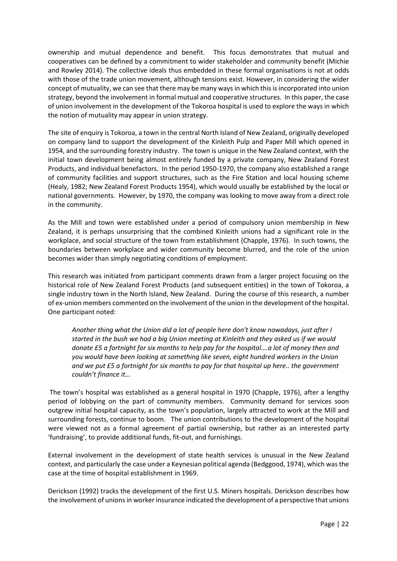ownership and mutual dependence and benefit. This focus demonstrates that mutual and cooperatives can be defined by a commitment to wider stakeholder and community benefit (Michie and Rowley 2014). The collective ideals thus embedded in these formal organisations is not at odds with those of the trade union movement, although tensions exist. However, in considering the wider concept of mutuality, we can see that there may be many ways in which this is incorporated into union strategy, beyond the involvement in formal mutual and cooperative structures. In this paper, the case of union involvement in the development of the Tokoroa hospital is used to explore the ways in which the notion of mutuality may appear in union strategy.

The site of enquiry is Tokoroa, a town in the central North Island of New Zealand, originally developed on company land to support the development of the Kinleith Pulp and Paper Mill which opened in 1954, and the surrounding forestry industry. The town is unique in the New Zealand context, with the initial town development being almost entirely funded by a private company, New Zealand Forest Products, and individual benefactors. In the period 1950-1970, the company also established a range of community facilities and support structures, such as the Fire Station and local housing scheme (Healy, 1982; New Zealand Forest Products 1954), which would usually be established by the local or national governments. However, by 1970, the company was looking to move away from a direct role in the community.

As the Mill and town were established under a period of compulsory union membership in New Zealand, it is perhaps unsurprising that the combined Kinleith unions had a significant role in the workplace, and social structure of the town from establishment (Chapple, 1976). In such towns, the boundaries between workplace and wider community become blurred, and the role of the union becomes wider than simply negotiating conditions of employment.

This research was initiated from participant comments drawn from a larger project focusing on the historical role of New Zealand Forest Products (and subsequent entities) in the town of Tokoroa, a single industry town in the North Island, New Zealand. During the course of this research, a number of ex-union members commented on the involvement of the union in the development of the hospital. One participant noted:

*Another thing what the Union did a lot of people here don't know nowadays, just after I started in the bush we had a big Union meeting at Kinleith and they asked us if we would donate £5 a fortnight for six months to help pay for the hospital….a lot of money then and you would have been looking at something like seven, eight hundred workers in the Union and we put £5 a fortnight for six months to pay for that hospital up here.. the government couldn't finance it…*

The town's hospital was established as a general hospital in 1970 (Chapple, 1976), after a lengthy period of lobbying on the part of community members. Community demand for services soon outgrew initial hospital capacity, as the town's population, largely attracted to work at the Mill and surrounding forests, continue to boom. The union contributions to the development of the hospital were viewed not as a formal agreement of partial ownership, but rather as an interested party 'fundraising', to provide additional funds, fit-out, and furnishings.

External involvement in the development of state health services is unusual in the New Zealand context, and particularly the case under a Keynesian political agenda (Bedggood, 1974), which wasthe case at the time of hospital establishment in 1969.

Derickson (1992) tracks the development of the first U.S. Miners hospitals. Derickson describes how the involvement of unions in worker insurance indicated the development of a perspective that unions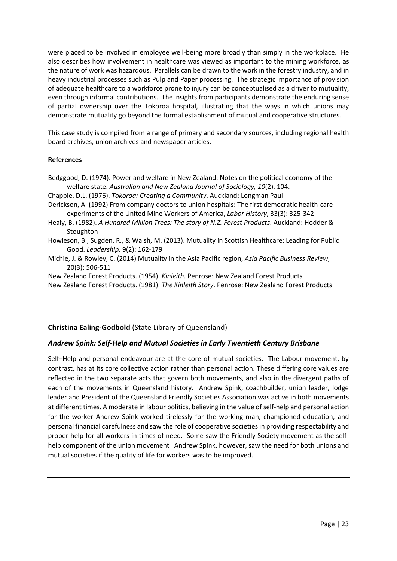were placed to be involved in employee well-being more broadly than simply in the workplace. He also describes how involvement in healthcare was viewed as important to the mining workforce, as the nature of work was hazardous. Parallels can be drawn to the work in the forestry industry, and in heavy industrial processes such as Pulp and Paper processing. The strategic importance of provision of adequate healthcare to a workforce prone to injury can be conceptualised as a driver to mutuality, even through informal contributions. The insights from participants demonstrate the enduring sense of partial ownership over the Tokoroa hospital, illustrating that the ways in which unions may demonstrate mutuality go beyond the formal establishment of mutual and cooperative structures.

This case study is compiled from a range of primary and secondary sources, including regional health board archives, union archives and newspaper articles.

### **References**

- Bedggood, D. (1974). Power and welfare in New Zealand: Notes on the political economy of the welfare state. *Australian and New Zealand Journal of Sociology, 10*(2), 104.
- Chapple, D.L. (1976). *Tokoroa: Creating a Community*. Auckland: Longman Paul
- Derickson, A. (1992) From company doctors to union hospitals: The first democratic health-care experiments of the United Mine Workers of America, *Labor History*, 33(3): 325-342
- Healy, B. (1982). *A Hundred Million Trees: The story of N.Z. Forest Products*. Auckland: Hodder & **Stoughton**
- Howieson, B., Sugden, R., & Walsh, M. (2013). Mutuality in Scottish Healthcare: Leading for Public Good. *Leadership*. 9(2): 162-179
- Michie, J. & Rowley, C. (2014) Mutuality in the Asia Pacific region, *Asia Pacific Business Review*, 20(3): 506-511

New Zealand Forest Products. (1954). *Kinleith.* Penrose: New Zealand Forest Products New Zealand Forest Products. (1981). *The Kinleith Story*. Penrose: New Zealand Forest Products

## **Christina Ealing-Godbold** (State Library of Queensland)

## *Andrew Spink: Self-Help and Mutual Societies in Early Twentieth Century Brisbane*

Self–Help and personal endeavour are at the core of mutual societies. The Labour movement, by contrast, has at its core collective action rather than personal action. These differing core values are reflected in the two separate acts that govern both movements, and also in the divergent paths of each of the movements in Queensland history. Andrew Spink, coachbuilder, union leader, lodge leader and President of the Queensland Friendly Societies Association was active in both movements at different times. A moderate in labour politics, believing in the value of self-help and personal action for the worker Andrew Spink worked tirelessly for the working man, championed education, and personal financial carefulness and saw the role of cooperative societies in providing respectability and proper help for all workers in times of need. Some saw the Friendly Society movement as the selfhelp component of the union movement Andrew Spink, however, saw the need for both unions and mutual societies if the quality of life for workers was to be improved.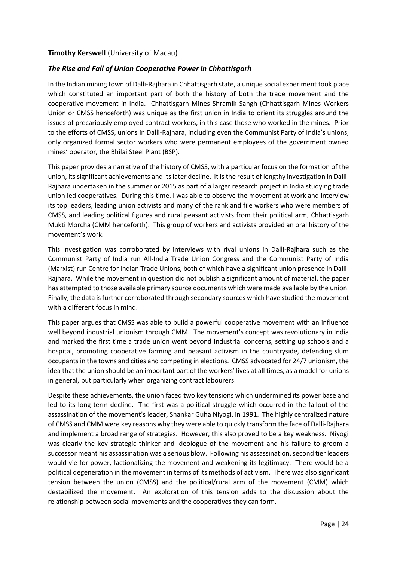## **Timothy Kerswell** (University of Macau)

## *The Rise and Fall of Union Cooperative Power in Chhattisgarh*

In the Indian mining town of Dalli-Rajhara in Chhattisgarh state, a unique social experiment took place which constituted an important part of both the history of both the trade movement and the cooperative movement in India. Chhattisgarh Mines Shramik Sangh (Chhattisgarh Mines Workers Union or CMSS henceforth) was unique as the first union in India to orient its struggles around the issues of precariously employed contract workers, in this case those who worked in the mines. Prior to the efforts of CMSS, unions in Dalli-Rajhara, including even the Communist Party of India's unions, only organized formal sector workers who were permanent employees of the government owned mines' operator, the Bhilai Steel Plant (BSP).

This paper provides a narrative of the history of CMSS, with a particular focus on the formation of the union, its significant achievements and its later decline. It is the result of lengthy investigation in Dalli-Rajhara undertaken in the summer or 2015 as part of a larger research project in India studying trade union led cooperatives. During this time, I was able to observe the movement at work and interview its top leaders, leading union activists and many of the rank and file workers who were members of CMSS, and leading political figures and rural peasant activists from their political arm, Chhattisgarh Mukti Morcha (CMM henceforth). This group of workers and activists provided an oral history of the movement's work.

This investigation was corroborated by interviews with rival unions in Dalli-Rajhara such as the Communist Party of India run All-India Trade Union Congress and the Communist Party of India (Marxist) run Centre for Indian Trade Unions, both of which have a significant union presence in Dalli-Rajhara. While the movement in question did not publish a significant amount of material, the paper has attempted to those available primary source documents which were made available by the union. Finally, the data is further corroborated through secondary sources which have studied the movement with a different focus in mind.

This paper argues that CMSS was able to build a powerful cooperative movement with an influence well beyond industrial unionism through CMM. The movement's concept was revolutionary in India and marked the first time a trade union went beyond industrial concerns, setting up schools and a hospital, promoting cooperative farming and peasant activism in the countryside, defending slum occupants in the towns and cities and competing in elections. CMSS advocated for 24/7 unionism, the idea that the union should be an important part of the workers' lives at all times, as a model for unions in general, but particularly when organizing contract labourers.

Despite these achievements, the union faced two key tensions which undermined its power base and led to its long term decline. The first was a political struggle which occurred in the fallout of the assassination of the movement's leader, Shankar Guha Niyogi, in 1991. The highly centralized nature of CMSS and CMM were key reasons why they were able to quickly transform the face of Dalli-Rajhara and implement a broad range of strategies. However, this also proved to be a key weakness. Niyogi was clearly the key strategic thinker and ideologue of the movement and his failure to groom a successor meant his assassination was a serious blow. Following his assassination, second tier leaders would vie for power, factionalizing the movement and weakening its legitimacy. There would be a political degeneration in the movement in terms of its methods of activism. There was also significant tension between the union (CMSS) and the political/rural arm of the movement (CMM) which destabilized the movement. An exploration of this tension adds to the discussion about the relationship between social movements and the cooperatives they can form.